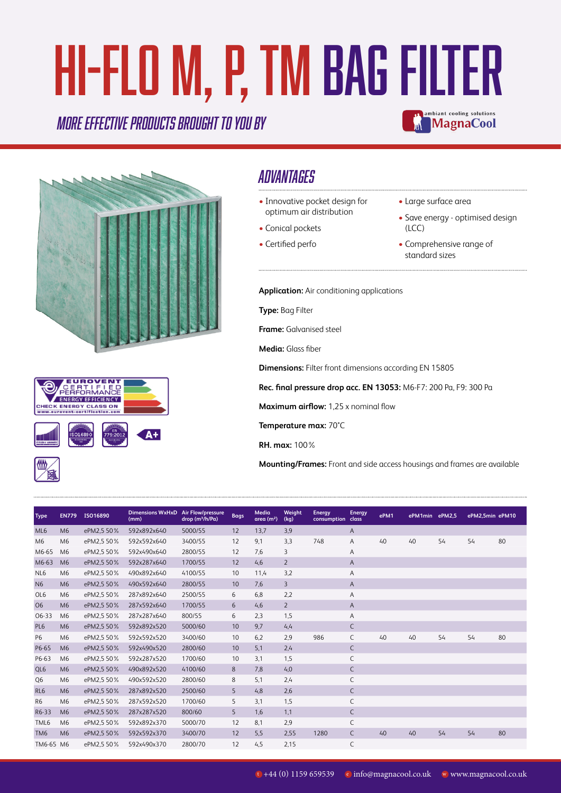# HI-FLO M, P, TM Bag Filter mbiant cooling solutions

#### *More effective products BROUGHT TO YOU BY*





### *ADVANTAGES*

- Innovative pocket design for optimum air distribution
- Conical pockets
- Certified perfo
- Large surface area
- Save energy optimised design (LCC)

**MagnaCool** 

• Comprehensive range of standard sizes

**Application:** Air conditioning applications

**Type:** Bag Filter

**Frame:** Galvanised steel

**Media:** Glass fiber

**Dimensions:** Filter front dimensions according EN 15805

**Rec. final pressure drop acc. EN 13053:** M6-F7: 200 Pa, F9: 300 Pa

**Maximum airflow:** 1,25 x nominal flow

**Temperature max:** 70°C

**RH. max:** 100%

**Mounting/Frames:** Front and side access housings and frames are available

| <b>Type</b>     | <b>EN779</b>   | ISO16890   | <b>Dimensions WxHxD</b><br>(mm) | <b>Air Flow/pressure</b><br>drop (m <sup>3</sup> /h/Pa) | <b>Bags</b> | Media<br>area (m <sup>2</sup> ) | Weight<br>(kq) | <b>Energy</b><br>consumption class | Energy | ePM1 | ePM1min ePM2,5 |    | ePM2,5min ePM10 |    |
|-----------------|----------------|------------|---------------------------------|---------------------------------------------------------|-------------|---------------------------------|----------------|------------------------------------|--------|------|----------------|----|-----------------|----|
| ML <sub>6</sub> | M <sub>6</sub> | ePM2,5 50% | 592x892x640                     | 5000/55                                                 | 12          | 13,7                            | 3,9            |                                    | A      |      |                |    |                 |    |
| M <sub>6</sub>  | M <sub>6</sub> | ePM2,5 50% | 592x592x640                     | 3400/55                                                 | 12          | 9,1                             | 3,3            | 748                                | Α      | 40   | 40             | 54 | 54              | 80 |
| M6-65           | M <sub>6</sub> | ePM2,5 50% | 592x490x640                     | 2800/55                                                 | 12          | 7,6                             | 3              |                                    | Α      |      |                |    |                 |    |
| M6-63           | M <sub>6</sub> | ePM2,5 50% | 592x287x640                     | 1700/55                                                 | 12          | 4,6                             | $\overline{2}$ |                                    | A      |      |                |    |                 |    |
| NL <sub>6</sub> | M <sub>6</sub> | ePM2,5 50% | 490x892x640                     | 4100/55                                                 | 10          | 11,4                            | 3,2            |                                    | Α      |      |                |    |                 |    |
| N <sub>6</sub>  | M <sub>6</sub> | ePM2,5 50% | 490x592x640                     | 2800/55                                                 | 10          | 7,6                             | 3              |                                    | A      |      |                |    |                 |    |
| OL <sub>6</sub> | M <sub>6</sub> | ePM2,5 50% | 287x892x640                     | 2500/55                                                 | 6           | 6,8                             | 2,2            |                                    | Α      |      |                |    |                 |    |
| <b>O6</b>       | M <sub>6</sub> | ePM2,5 50% | 287x592x640                     | 1700/55                                                 | 6           | 4,6                             | $\overline{2}$ |                                    | A      |      |                |    |                 |    |
| 06-33           | M <sub>6</sub> | ePM2,5 50% | 287x287x640                     | 800/55                                                  | 6           | 2,3                             | 1,5            |                                    | A      |      |                |    |                 |    |
| PL6             | M <sub>6</sub> | ePM2,5 50% | 592x892x520                     | 5000/60                                                 | 10          | 9,7                             | 4, 4           |                                    | C      |      |                |    |                 |    |
| P6              | M <sub>6</sub> | ePM2,5 50% | 592x592x520                     | 3400/60                                                 | 10          | 6,2                             | 2,9            | 986                                | C      | 40   | 40             | 54 | 54              | 80 |
| P6-65           | M <sub>6</sub> | ePM2,5 50% | 592x490x520                     | 2800/60                                                 | 10          | 5,1                             | 2,4            |                                    | C      |      |                |    |                 |    |
| P6-63           | M <sub>6</sub> | ePM2,5 50% | 592x287x520                     | 1700/60                                                 | 10          | 3,1                             | 1,5            |                                    | C      |      |                |    |                 |    |
| QL6             | M <sub>6</sub> | ePM2,5 50% | 490x892x520                     | 4100/60                                                 | 8           | 7,8                             | 4,0            |                                    | C      |      |                |    |                 |    |
| Q <sub>6</sub>  | M <sub>6</sub> | ePM2,5 50% | 490x592x520                     | 2800/60                                                 | 8           | 5,1                             | 2,4            |                                    | С      |      |                |    |                 |    |
| RL <sub>6</sub> | M <sub>6</sub> | ePM2,5 50% | 287x892x520                     | 2500/60                                                 | 5           | 4,8                             | 2,6            |                                    | C      |      |                |    |                 |    |
| R <sub>6</sub>  | M <sub>6</sub> | ePM2,5 50% | 287x592x520                     | 1700/60                                                 | 5           | 3,1                             | 1,5            |                                    | C      |      |                |    |                 |    |
| R6-33           | M <sub>6</sub> | ePM2,5 50% | 287x287x520                     | 800/60                                                  | 5           | 1,6                             | 1,1            |                                    | C      |      |                |    |                 |    |
| TML6            | M <sub>6</sub> | ePM2,5 50% | 592x892x370                     | 5000/70                                                 | 12          | 8,1                             | 2,9            |                                    | C      |      |                |    |                 |    |
| TM <sub>6</sub> | M <sub>6</sub> | ePM2,5 50% | 592x592x370                     | 3400/70                                                 | 12          | 5,5                             | 2,55           | 1280                               | C      | 40   | 40             | 54 | 54              | 80 |
| TM6-65 M6       |                | ePM2,5 50% | 592x490x370                     | 2800/70                                                 | 12          | 4,5                             | 2,15           |                                    | C      |      |                |    |                 |    |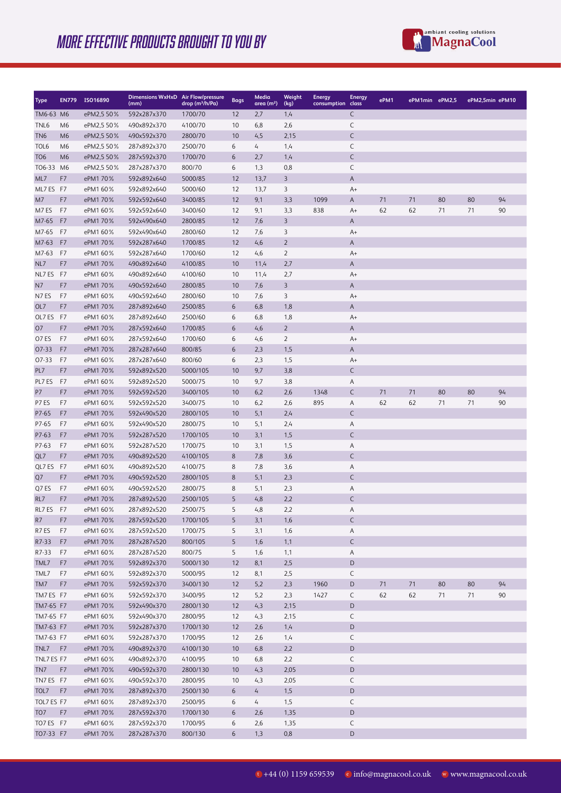## MORE EFFECTIVE PRODUCTS BROUGHT TO YOU BY



| Type              | <b>EN779</b>   | ISO16890             | Dimensions WxHxD Air Flow/pressure<br>(mm) | drop (m <sup>3</sup> /h/Pa) | <b>Bags</b> | Media<br>area (m <sup>2</sup> ) | Weight<br>(kg) | <b>Energy</b><br>consumption class | <b>Energy</b> | ePM1 | ePM1min ePM2,5 |    | ePM2,5min ePM10 |    |
|-------------------|----------------|----------------------|--------------------------------------------|-----------------------------|-------------|---------------------------------|----------------|------------------------------------|---------------|------|----------------|----|-----------------|----|
| TM6-63 M6         |                | ePM2,5 50%           | 592x287x370                                | 1700/70                     | 12          | 2,7                             | 1,4            |                                    | С             |      |                |    |                 |    |
| TNL6              | M6             | ePM2,5 50%           | 490x892x370                                | 4100/70                     | 10          | 6,8                             | 2,6            |                                    | С             |      |                |    |                 |    |
| TN <sub>6</sub>   | M <sub>6</sub> | ePM2,5 50%           | 490x592x370                                | 2800/70                     | 10          | 4,5                             | 2,15           |                                    | C             |      |                |    |                 |    |
| TOL <sub>6</sub>  | M <sub>6</sub> | ePM2,5 50%           | 287x892x370                                | 2500/70                     | 6           | 4                               | 1,4            |                                    | С             |      |                |    |                 |    |
| T <sub>O</sub> 6  | M <sub>6</sub> | ePM2,5 50%           | 287x592x370                                | 1700/70                     | 6           | 2,7                             | 1,4            |                                    | C             |      |                |    |                 |    |
| TO6-33 M6         |                | ePM2,5 50%           | 287x287x370                                | 800/70                      | 6           | 1,3                             | 0,8            |                                    | С             |      |                |    |                 |    |
| ML7               | F7             | ePM1 70%             | 592x892x640                                | 5000/85                     | 12          | 13,7                            | 3              |                                    | Α             |      |                |    |                 |    |
| ML7 ES F7         |                | ePM1 60%             | 592x892x640                                | 5000/60                     | 12          | 13,7                            | 3              |                                    | A+            |      |                |    |                 |    |
| M7                | F7             | ePM1 70%             | 592x592x640                                | 3400/85                     | 12          | 9,1                             | 3,3            | 1099                               | Α             | 71   | 71             | 80 | 80              | 94 |
| M7ES              | F7             | ePM1 60%             | 592x592x640                                | 3400/60                     | 12          | 9,1                             | 3,3            | 838                                | A+            | 62   | 62             | 71 | 71              | 90 |
| M7-65             | F7             | ePM1 70%             | 592x490x640                                | 2800/85                     | 12          | 7,6                             | 3              |                                    | A             |      |                |    |                 |    |
| M7-65             | F7             | ePM1 60%             | 592x490x640                                | 2800/60                     | 12          | 7,6                             | 3              |                                    | A+            |      |                |    |                 |    |
| M7-63             | F7             | ePM1 70%             | 592x287x640                                | 1700/85                     | 12          | 4,6                             | 2              |                                    | Α             |      |                |    |                 |    |
| M7-63             | F7             | ePM1 60%             | 592x287x640                                | 1700/60                     | 12          | 4,6                             | $\overline{2}$ |                                    | A+            |      |                |    |                 |    |
| NL7               | F7             | ePM1 70%             | 490x892x640                                | 4100/85                     | 10          | 11,4                            | 2,7            |                                    | Α             |      |                |    |                 |    |
| NL7 ES            | F7             | ePM1 60%             | 490x892x640                                | 4100/60                     | 10          | 11,4                            | 2,7            |                                    | A+            |      |                |    |                 |    |
| N7                | F7             | ePM1 70%             | 490x592x640                                | 2800/85                     | 10          | 7,6                             | 3              |                                    | A             |      |                |    |                 |    |
| N7ES              | F7             | ePM1 60%             | 490x592x640                                | 2800/60                     | 10          | 7,6                             | 3              |                                    | A+            |      |                |    |                 |    |
| OL7               | F7             | ePM1 70%             | 287x892x640                                | 2500/85                     | 6           | 6,8                             | 1,8            |                                    | Α             |      |                |    |                 |    |
| OL7 ES            | F7             | ePM1 60%             | 287x892x640                                | 2500/60                     | 6           | 6,8                             | 1,8            |                                    | A+            |      |                |    |                 |    |
| 07<br>07 ES       | F7<br>F7       | ePM1 70%<br>ePM1 60% | 287x592x640                                | 1700/85<br>1700/60          | 6<br>6      | 4,6<br>4,6                      | 2<br>2         |                                    | Α<br>A+       |      |                |    |                 |    |
| 07-33             | F7             | ePM1 70%             | 287x592x640<br>287x287x640                 | 800/85                      | 6           | 2,3                             | 1,5            |                                    | Α             |      |                |    |                 |    |
| 07-33             | F7             | ePM1 60%             | 287x287x640                                | 800/60                      | 6           | 2,3                             | 1,5            |                                    | A+            |      |                |    |                 |    |
| PL7               | F7             | ePM1 70%             | 592x892x520                                | 5000/105                    | 10          | 9,7                             | 3,8            |                                    | C             |      |                |    |                 |    |
| PL7 ES            | F7             | ePM1 60%             | 592x892x520                                | 5000/75                     | 10          | 9,7                             | 3,8            |                                    | Α             |      |                |    |                 |    |
| P7                | F7             | ePM1 70%             | 592x592x520                                | 3400/105                    | 10          | 6,2                             | 2,6            | 1348                               | C             | 71   | 71             | 80 | 80              | 94 |
| P7ES              | F7             | ePM1 60%             | 592x592x520                                | 3400/75                     | 10          | 6,2                             | 2,6            | 895                                | Α             | 62   | 62             | 71 | 71              | 90 |
| P7-65             | F7             | ePM1 70%             | 592x490x520                                | 2800/105                    | 10          | 5,1                             | 2,4            |                                    | C             |      |                |    |                 |    |
| P7-65             | F7             | ePM1 60%             | 592x490x520                                | 2800/75                     | 10          | 5,1                             | 2,4            |                                    | Α             |      |                |    |                 |    |
| P7-63             | F7             | ePM1 70%             | 592x287x520                                | 1700/105                    | 10          | 3,1                             | 1,5            |                                    | С             |      |                |    |                 |    |
| P7-63             | F7             | ePM1 60%             | 592x287x520                                | 1700/75                     | 10          | 3,1                             | 1,5            |                                    | Α             |      |                |    |                 |    |
| QL7               | F7             | ePM1 70%             | 490x892x520                                | 4100/105                    | 8           | 7,8                             | 3,6            |                                    | С             |      |                |    |                 |    |
| QL7 ES            | F7             | ePM1 60%             | 490x892x520                                | 4100/75                     | 8           | 7,8                             | 3,6            |                                    | Α             |      |                |    |                 |    |
| Q7                | F7             | ePM1 70%             | 490x592x520                                | 2800/105                    | 8           | 5,1                             | 2,3            |                                    | С             |      |                |    |                 |    |
| Q7 ES             | F7             | ePM1 60%             | 490x592x520                                | 2800/75                     | 8           | 5,1                             | 2,3            |                                    | Α             |      |                |    |                 |    |
| RL7               | F7             | ePM1 70%             | 287x892x520                                | 2500/105                    | 5           | 4,8                             | 2,2            |                                    | С             |      |                |    |                 |    |
| RL7 ES            | F7             | ePM1 60%             | 287x892x520                                | 2500/75                     | 5           | 4,8                             | 2,2            |                                    | Α             |      |                |    |                 |    |
| R7                | F7             | ePM1 70%             | 287x592x520                                | 1700/105                    | 5           | 3,1                             | 1,6            |                                    | C             |      |                |    |                 |    |
| R7ES              | F7             | ePM1 60%             | 287x592x520                                | 1700/75                     | 5           | 3,1                             | 1,6            |                                    | Α             |      |                |    |                 |    |
| R7-33             | F7             | ePM1 70%             | 287x287x520                                | 800/105                     | 5           | 1,6                             | 1,1            |                                    | C             |      |                |    |                 |    |
| R7-33             | F7             | ePM1 60%             | 287x287x520                                | 800/75                      | 5           | 1,6                             | 1,1            |                                    | Α             |      |                |    |                 |    |
| TML7              | F7             | ePM1 70%             | 592x892x370                                | 5000/130                    | 12          | 8,1                             | 2,5            |                                    | D             |      |                |    |                 |    |
| TML7              | F7             | ePM1 60%             | 592x892x370                                | 5000/95                     | 12          | 8,1                             | 2,5            |                                    | С             |      |                |    |                 |    |
| TM7               | F7             | ePM1 70%             | 592x592x370                                | 3400/130                    | 12          | 5,2                             | 2,3            | 1960                               | D             | 71   | 71             | 80 | 80              | 94 |
| TM7 ES F7         |                | ePM1 60%             | 592x592x370                                | 3400/95                     | 12          | 5,2                             | 2,3            | 1427                               | С             | 62   | 62             | 71 | 71              | 90 |
| TM7-65 F7         |                | ePM1 70%             | 592x490x370                                | 2800/130                    | 12          | 4,3                             | 2,15           |                                    | D             |      |                |    |                 |    |
| TM7-65 F7         |                | ePM1 60%<br>ePM1 70% | 592x490x370<br>592x287x370                 | 2800/95<br>1700/130         | 12          | 4,3                             | 2,15           |                                    | С             |      |                |    |                 |    |
| TM7-63 F7         |                |                      |                                            |                             | 12          | 2,6                             | 1,4            |                                    | D<br>С        |      |                |    |                 |    |
| TM7-63 F7<br>TNL7 | F7             | ePM1 60%<br>ePM1 70% | 592x287x370<br>490x892x370                 | 1700/95<br>4100/130         | 12<br>10    | 2,6<br>6,8                      | 1,4<br>2,2     |                                    | D             |      |                |    |                 |    |
| TNL7 ES F7        |                | ePM1 60%             | 490x892x370                                | 4100/95                     | 10          | 6,8                             | 2,2            |                                    | С             |      |                |    |                 |    |
| TN7               | F7             | ePM1 70%             | 490x592x370                                | 2800/130                    | 10          | 4,3                             | 2,05           |                                    | D             |      |                |    |                 |    |
| TN7 ES F7         |                | ePM1 60%             | 490x592x370                                | 2800/95                     | 10          | 4,3                             | 2,05           |                                    | C             |      |                |    |                 |    |
| TOL7              | F7             | ePM1 70%             | 287x892x370                                | 2500/130                    | 6           | 4                               | 1,5            |                                    | D             |      |                |    |                 |    |
| TOL7 ES F7        |                | ePM1 60%             | 287x892x370                                | 2500/95                     | 6           | 4                               | 1,5            |                                    | C             |      |                |    |                 |    |
| TO <sub>7</sub>   | F7             | ePM1 70%             | 287x592x370                                | 1700/130                    | 6           | 2,6                             | 1,35           |                                    | D             |      |                |    |                 |    |
| TO7 ES F7         |                | ePM1 60%             | 287x592x370                                | 1700/95                     | 6           | 2,6                             | 1,35           |                                    | С             |      |                |    |                 |    |
| TO7-33 F7         |                | ePM1 70%             | 287x287x370                                | 800/130                     | 6           | 1,3                             | 0,8            |                                    | D             |      |                |    |                 |    |